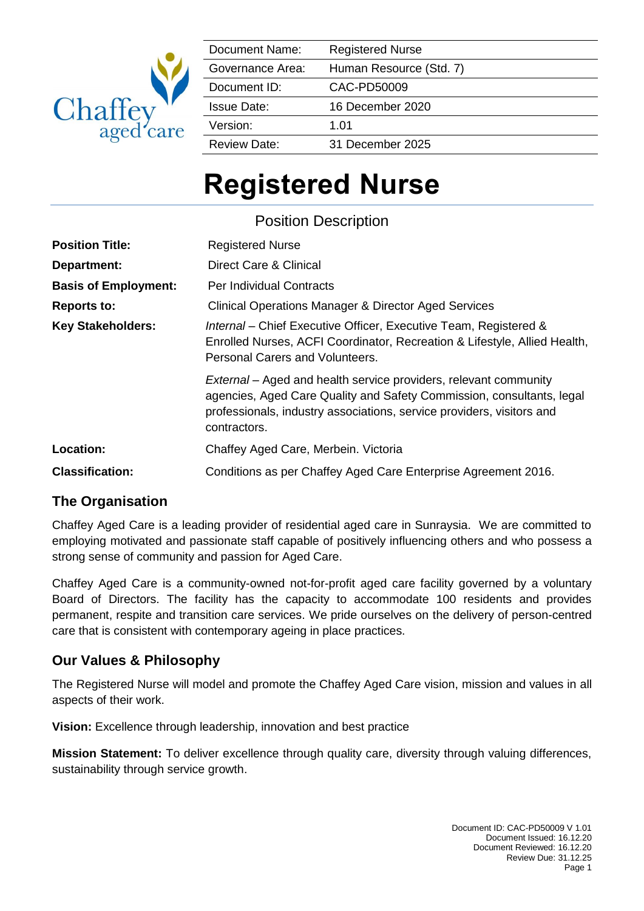

| Document Name:      | <b>Registered Nurse</b> |
|---------------------|-------------------------|
| Governance Area:    | Human Resource (Std. 7) |
| Document ID:        | CAC-PD50009             |
| <b>Issue Date:</b>  | 16 December 2020        |
| Version:            | 1.01                    |
| <b>Review Date:</b> | 31 December 2025        |

# **Registered Nurse**

Position Description

| <b>Position Title:</b>      | <b>Registered Nurse</b>                                                                                                                                                                                                            |
|-----------------------------|------------------------------------------------------------------------------------------------------------------------------------------------------------------------------------------------------------------------------------|
| Department:                 | Direct Care & Clinical                                                                                                                                                                                                             |
| <b>Basis of Employment:</b> | <b>Per Individual Contracts</b>                                                                                                                                                                                                    |
| <b>Reports to:</b>          | <b>Clinical Operations Manager &amp; Director Aged Services</b>                                                                                                                                                                    |
| <b>Key Stakeholders:</b>    | Internal – Chief Executive Officer, Executive Team, Registered &<br>Enrolled Nurses, ACFI Coordinator, Recreation & Lifestyle, Allied Health,<br>Personal Carers and Volunteers.                                                   |
|                             | External – Aged and health service providers, relevant community<br>agencies, Aged Care Quality and Safety Commission, consultants, legal<br>professionals, industry associations, service providers, visitors and<br>contractors. |
| <b>Location:</b>            | Chaffey Aged Care, Merbein. Victoria                                                                                                                                                                                               |
| <b>Classification:</b>      | Conditions as per Chaffey Aged Care Enterprise Agreement 2016.                                                                                                                                                                     |

## **The Organisation**

Chaffey Aged Care is a leading provider of residential aged care in Sunraysia. We are committed to employing motivated and passionate staff capable of positively influencing others and who possess a strong sense of community and passion for Aged Care.

Chaffey Aged Care is a community-owned not-for-profit aged care facility governed by a voluntary Board of Directors. The facility has the capacity to accommodate 100 residents and provides permanent, respite and transition care services. We pride ourselves on the delivery of person-centred care that is consistent with contemporary ageing in place practices.

## **Our Values & Philosophy**

The Registered Nurse will model and promote the Chaffey Aged Care vision, mission and values in all aspects of their work.

**Vision:** Excellence through leadership, innovation and best practice

**Mission Statement:** To deliver excellence through quality care, diversity through valuing differences, sustainability through service growth.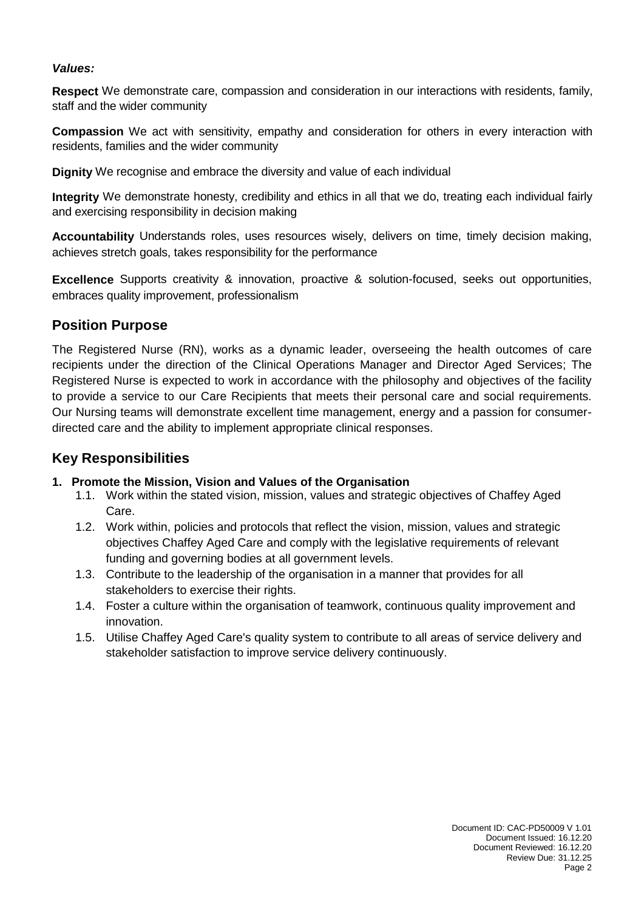#### *Values:*

**Respect** We demonstrate care, compassion and consideration in our interactions with residents, family, staff and the wider community

**Compassion** We act with sensitivity, empathy and consideration for others in every interaction with residents, families and the wider community

**Dignity** We recognise and embrace the diversity and value of each individual

**Integrity** We demonstrate honesty, credibility and ethics in all that we do, treating each individual fairly and exercising responsibility in decision making

**Accountability** Understands roles, uses resources wisely, delivers on time, timely decision making, achieves stretch goals, takes responsibility for the performance

**Excellence** Supports creativity & innovation, proactive & solution-focused, seeks out opportunities, embraces quality improvement, professionalism

#### **Position Purpose**

The Registered Nurse (RN), works as a dynamic leader, overseeing the health outcomes of care recipients under the direction of the Clinical Operations Manager and Director Aged Services; The Registered Nurse is expected to work in accordance with the philosophy and objectives of the facility to provide a service to our Care Recipients that meets their personal care and social requirements. Our Nursing teams will demonstrate excellent time management, energy and a passion for consumerdirected care and the ability to implement appropriate clinical responses.

### **Key Responsibilities**

#### **1. Promote the Mission, Vision and Values of the Organisation**

- 1.1. Work within the stated vision, mission, values and strategic objectives of Chaffey Aged Care.
- 1.2. Work within, policies and protocols that reflect the vision, mission, values and strategic objectives Chaffey Aged Care and comply with the legislative requirements of relevant funding and governing bodies at all government levels.
- 1.3. Contribute to the leadership of the organisation in a manner that provides for all stakeholders to exercise their rights.
- 1.4. Foster a culture within the organisation of teamwork, continuous quality improvement and innovation.
- 1.5. Utilise Chaffey Aged Care's quality system to contribute to all areas of service delivery and stakeholder satisfaction to improve service delivery continuously.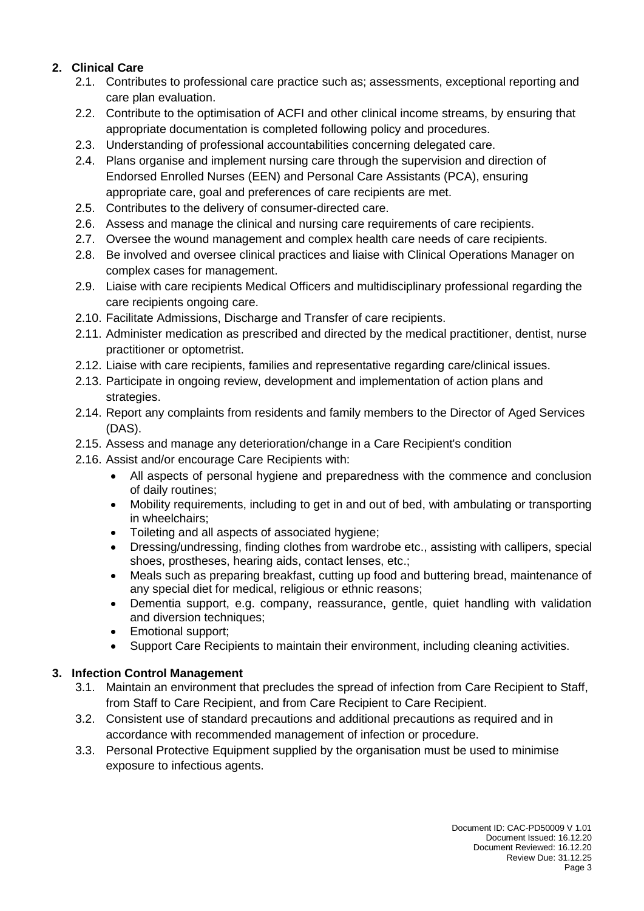### **2. Clinical Care**

- 2.1. Contributes to professional care practice such as; assessments, exceptional reporting and care plan evaluation.
- 2.2. Contribute to the optimisation of ACFI and other clinical income streams, by ensuring that appropriate documentation is completed following policy and procedures.
- 2.3. Understanding of professional accountabilities concerning delegated care.
- 2.4. Plans organise and implement nursing care through the supervision and direction of Endorsed Enrolled Nurses (EEN) and Personal Care Assistants (PCA), ensuring appropriate care, goal and preferences of care recipients are met.
- 2.5. Contributes to the delivery of consumer-directed care.
- 2.6. Assess and manage the clinical and nursing care requirements of care recipients.
- 2.7. Oversee the wound management and complex health care needs of care recipients.
- 2.8. Be involved and oversee clinical practices and liaise with Clinical Operations Manager on complex cases for management.
- 2.9. Liaise with care recipients Medical Officers and multidisciplinary professional regarding the care recipients ongoing care.
- 2.10. Facilitate Admissions, Discharge and Transfer of care recipients.
- 2.11. Administer medication as prescribed and directed by the medical practitioner, dentist, nurse practitioner or optometrist.
- 2.12. Liaise with care recipients, families and representative regarding care/clinical issues.
- 2.13. Participate in ongoing review, development and implementation of action plans and strategies.
- 2.14. Report any complaints from residents and family members to the Director of Aged Services (DAS).
- 2.15. Assess and manage any deterioration/change in a Care Recipient's condition
- 2.16. Assist and/or encourage Care Recipients with:
	- All aspects of personal hygiene and preparedness with the commence and conclusion of daily routines;
	- Mobility requirements, including to get in and out of bed, with ambulating or transporting in wheelchairs;
	- Toileting and all aspects of associated hygiene;
	- Dressing/undressing, finding clothes from wardrobe etc., assisting with callipers, special shoes, prostheses, hearing aids, contact lenses, etc.;
	- Meals such as preparing breakfast, cutting up food and buttering bread, maintenance of any special diet for medical, religious or ethnic reasons;
	- Dementia support, e.g. company, reassurance, gentle, quiet handling with validation and diversion techniques;
	- Emotional support;
	- Support Care Recipients to maintain their environment, including cleaning activities.

#### **3. Infection Control Management**

- 3.1. Maintain an environment that precludes the spread of infection from Care Recipient to Staff, from Staff to Care Recipient, and from Care Recipient to Care Recipient.
- 3.2. Consistent use of standard precautions and additional precautions as required and in accordance with recommended management of infection or procedure.
- 3.3. Personal Protective Equipment supplied by the organisation must be used to minimise exposure to infectious agents.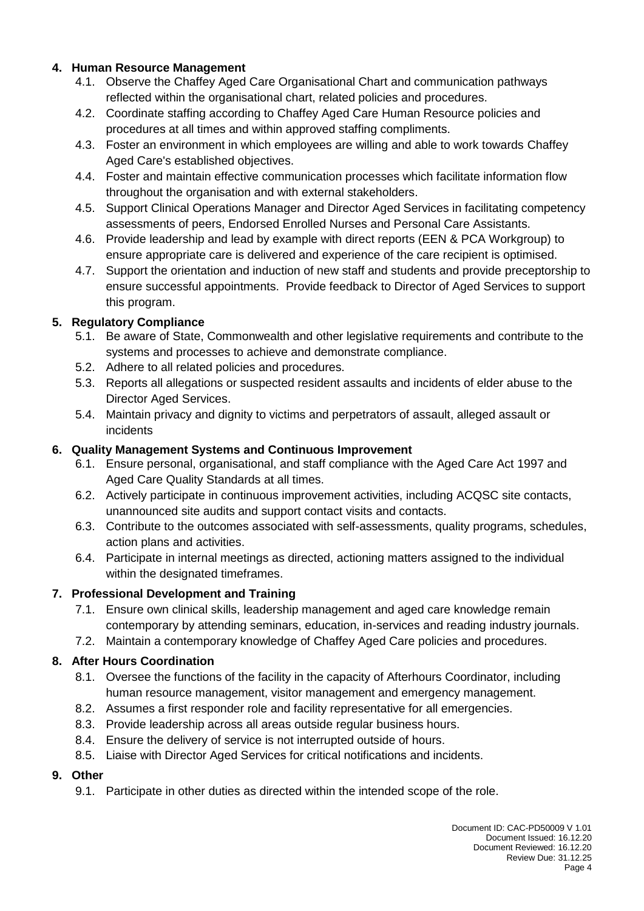#### **4. Human Resource Management**

- 4.1. Observe the Chaffey Aged Care Organisational Chart and communication pathways reflected within the organisational chart, related policies and procedures.
- 4.2. Coordinate staffing according to Chaffey Aged Care Human Resource policies and procedures at all times and within approved staffing compliments.
- 4.3. Foster an environment in which employees are willing and able to work towards Chaffey Aged Care's established objectives.
- 4.4. Foster and maintain effective communication processes which facilitate information flow throughout the organisation and with external stakeholders.
- 4.5. Support Clinical Operations Manager and Director Aged Services in facilitating competency assessments of peers, Endorsed Enrolled Nurses and Personal Care Assistants.
- 4.6. Provide leadership and lead by example with direct reports (EEN & PCA Workgroup) to ensure appropriate care is delivered and experience of the care recipient is optimised.
- 4.7. Support the orientation and induction of new staff and students and provide preceptorship to ensure successful appointments. Provide feedback to Director of Aged Services to support this program.

### **5. Regulatory Compliance**

- 5.1. Be aware of State, Commonwealth and other legislative requirements and contribute to the systems and processes to achieve and demonstrate compliance.
- 5.2. Adhere to all related policies and procedures.
- 5.3. Reports all allegations or suspected resident assaults and incidents of elder abuse to the Director Aged Services.
- 5.4. Maintain privacy and dignity to victims and perpetrators of assault, alleged assault or incidents

### **6. Quality Management Systems and Continuous Improvement**

- 6.1. Ensure personal, organisational, and staff compliance with the Aged Care Act 1997 and Aged Care Quality Standards at all times.
- 6.2. Actively participate in continuous improvement activities, including ACQSC site contacts, unannounced site audits and support contact visits and contacts.
- 6.3. Contribute to the outcomes associated with self-assessments, quality programs, schedules, action plans and activities.
- 6.4. Participate in internal meetings as directed, actioning matters assigned to the individual within the designated timeframes.

### **7. Professional Development and Training**

- 7.1. Ensure own clinical skills, leadership management and aged care knowledge remain contemporary by attending seminars, education, in-services and reading industry journals.
- 7.2. Maintain a contemporary knowledge of Chaffey Aged Care policies and procedures.

### **8. After Hours Coordination**

- 8.1. Oversee the functions of the facility in the capacity of Afterhours Coordinator, including human resource management, visitor management and emergency management.
- 8.2. Assumes a first responder role and facility representative for all emergencies.
- 8.3. Provide leadership across all areas outside regular business hours.
- 8.4. Ensure the delivery of service is not interrupted outside of hours.
- 8.5. Liaise with Director Aged Services for critical notifications and incidents.

### **9. Other**

9.1. Participate in other duties as directed within the intended scope of the role.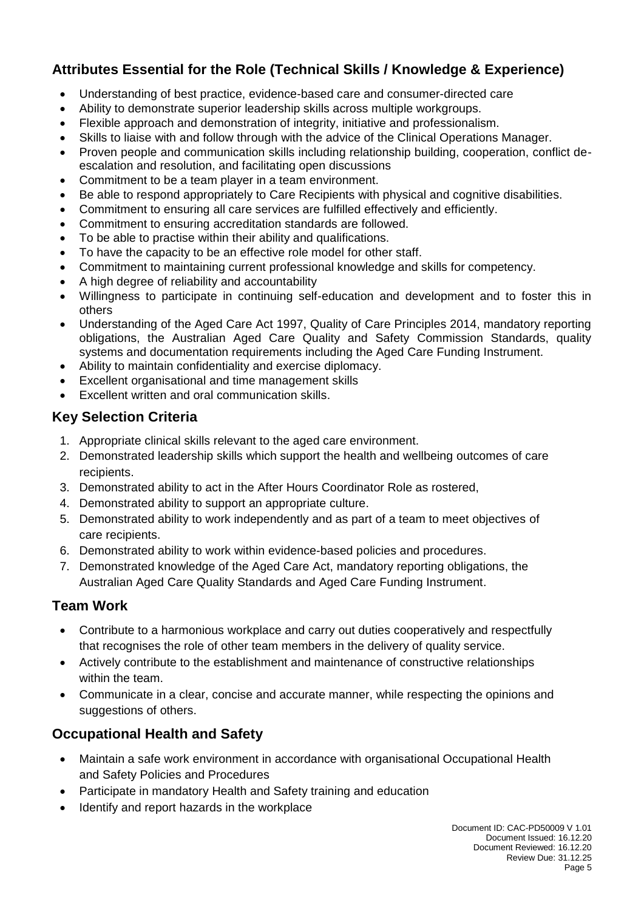## **Attributes Essential for the Role (Technical Skills / Knowledge & Experience)**

- Understanding of best practice, evidence-based care and consumer-directed care
- Ability to demonstrate superior leadership skills across multiple workgroups.
- Flexible approach and demonstration of integrity, initiative and professionalism.
- Skills to liaise with and follow through with the advice of the Clinical Operations Manager.
- Proven people and communication skills including relationship building, cooperation, conflict deescalation and resolution, and facilitating open discussions
- Commitment to be a team player in a team environment.
- Be able to respond appropriately to Care Recipients with physical and cognitive disabilities.
- Commitment to ensuring all care services are fulfilled effectively and efficiently.
- Commitment to ensuring accreditation standards are followed.
- To be able to practise within their ability and qualifications.
- To have the capacity to be an effective role model for other staff.
- Commitment to maintaining current professional knowledge and skills for competency.
- A high degree of reliability and accountability
- Willingness to participate in continuing self-education and development and to foster this in others
- Understanding of the Aged Care Act 1997, Quality of Care Principles 2014, mandatory reporting obligations, the Australian Aged Care Quality and Safety Commission Standards, quality systems and documentation requirements including the Aged Care Funding Instrument.
- Ability to maintain confidentiality and exercise diplomacy.
- Excellent organisational and time management skills
- Excellent written and oral communication skills.

## **Key Selection Criteria**

- 1. Appropriate clinical skills relevant to the aged care environment.
- 2. Demonstrated leadership skills which support the health and wellbeing outcomes of care recipients.
- 3. Demonstrated ability to act in the After Hours Coordinator Role as rostered,
- 4. Demonstrated ability to support an appropriate culture.
- 5. Demonstrated ability to work independently and as part of a team to meet objectives of care recipients.
- 6. Demonstrated ability to work within evidence-based policies and procedures.
- 7. Demonstrated knowledge of the Aged Care Act, mandatory reporting obligations, the Australian Aged Care Quality Standards and Aged Care Funding Instrument.

## **Team Work**

- Contribute to a harmonious workplace and carry out duties cooperatively and respectfully that recognises the role of other team members in the delivery of quality service.
- Actively contribute to the establishment and maintenance of constructive relationships within the team.
- Communicate in a clear, concise and accurate manner, while respecting the opinions and suggestions of others.

## **Occupational Health and Safety**

- Maintain a safe work environment in accordance with organisational Occupational Health and Safety Policies and Procedures
- Participate in mandatory Health and Safety training and education
- Identify and report hazards in the workplace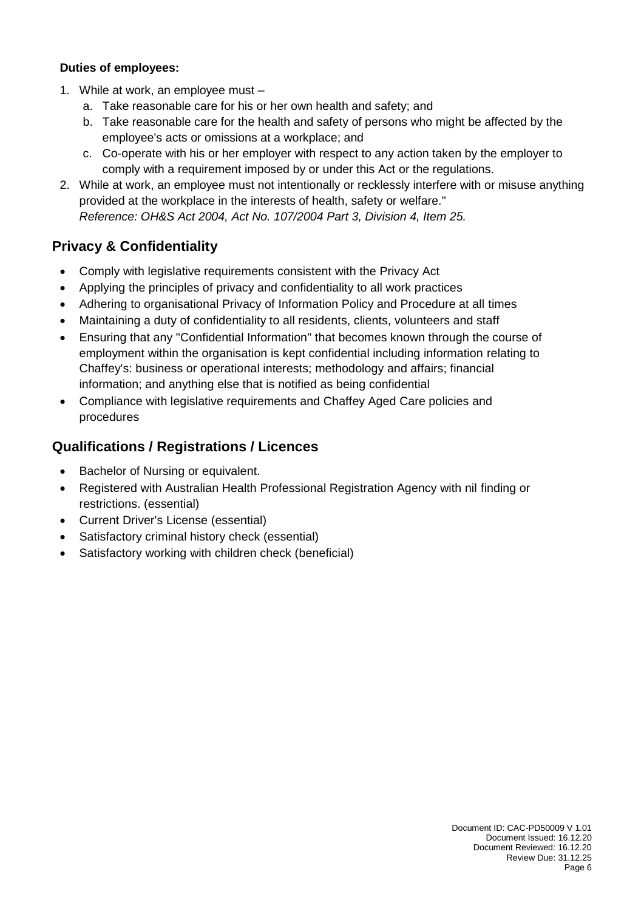#### **Duties of employees:**

- 1. While at work, an employee must
	- a. Take reasonable care for his or her own health and safety; and
	- b. Take reasonable care for the health and safety of persons who might be affected by the employee's acts or omissions at a workplace; and
	- c. Co-operate with his or her employer with respect to any action taken by the employer to comply with a requirement imposed by or under this Act or the regulations.
- 2. While at work, an employee must not intentionally or recklessly interfere with or misuse anything provided at the workplace in the interests of health, safety or welfare." *Reference: OH&S Act 2004, Act No. 107/2004 Part 3, Division 4, Item 25.*

## **Privacy & Confidentiality**

- Comply with legislative requirements consistent with the Privacy Act
- Applying the principles of privacy and confidentiality to all work practices
- Adhering to organisational Privacy of Information Policy and Procedure at all times
- Maintaining a duty of confidentiality to all residents, clients, volunteers and staff
- Ensuring that any "Confidential Information" that becomes known through the course of employment within the organisation is kept confidential including information relating to Chaffey's: business or operational interests; methodology and affairs; financial information; and anything else that is notified as being confidential
- Compliance with legislative requirements and Chaffey Aged Care policies and procedures

## **Qualifications / Registrations / Licences**

- Bachelor of Nursing or equivalent.
- Registered with Australian Health Professional Registration Agency with nil finding or restrictions. (essential)
- Current Driver's License (essential)
- Satisfactory criminal history check (essential)
- Satisfactory working with children check (beneficial)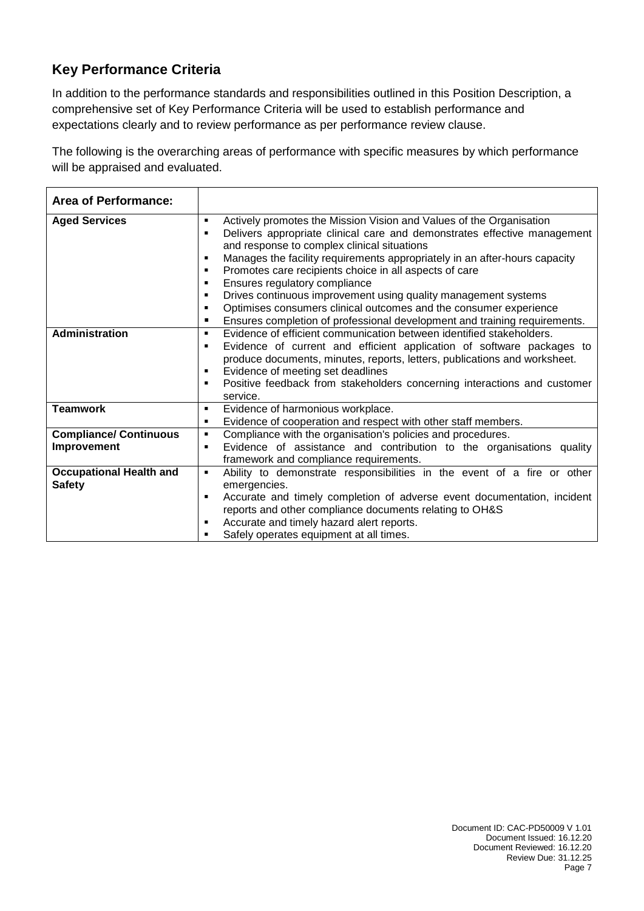## **Key Performance Criteria**

In addition to the performance standards and responsibilities outlined in this Position Description, a comprehensive set of Key Performance Criteria will be used to establish performance and expectations clearly and to review performance as per performance review clause.

The following is the overarching areas of performance with specific measures by which performance will be appraised and evaluated.

| <b>Area of Performance:</b>    |                |                                                                            |
|--------------------------------|----------------|----------------------------------------------------------------------------|
| <b>Aged Services</b>           | ٠              | Actively promotes the Mission Vision and Values of the Organisation        |
|                                | п              | Delivers appropriate clinical care and demonstrates effective management   |
|                                |                | and response to complex clinical situations                                |
|                                | $\blacksquare$ | Manages the facility requirements appropriately in an after-hours capacity |
|                                | ٠              | Promotes care recipients choice in all aspects of care                     |
|                                | ٠              | Ensures regulatory compliance                                              |
|                                | ٠              | Drives continuous improvement using quality management systems             |
|                                | $\blacksquare$ | Optimises consumers clinical outcomes and the consumer experience          |
|                                | п              | Ensures completion of professional development and training requirements.  |
| Administration                 | ٠              | Evidence of efficient communication between identified stakeholders.       |
|                                | п              | Evidence of current and efficient application of software packages to      |
|                                |                | produce documents, minutes, reports, letters, publications and worksheet.  |
|                                | ٠              | Evidence of meeting set deadlines                                          |
|                                | п              | Positive feedback from stakeholders concerning interactions and customer   |
|                                |                | service.                                                                   |
| <b>Teamwork</b>                | ٠              | Evidence of harmonious workplace.                                          |
|                                | ٠              | Evidence of cooperation and respect with other staff members.              |
| <b>Compliance/ Continuous</b>  | $\blacksquare$ | Compliance with the organisation's policies and procedures.                |
| Improvement                    | ٠              | Evidence of assistance and contribution to the organisations quality       |
|                                |                | framework and compliance requirements.                                     |
| <b>Occupational Health and</b> | ٠              | Ability to demonstrate responsibilities in the event of a fire or other    |
| <b>Safety</b>                  |                | emergencies.                                                               |
|                                | п              | Accurate and timely completion of adverse event documentation, incident    |
|                                |                | reports and other compliance documents relating to OH&S                    |
|                                | $\blacksquare$ | Accurate and timely hazard alert reports.                                  |
|                                | п              | Safely operates equipment at all times.                                    |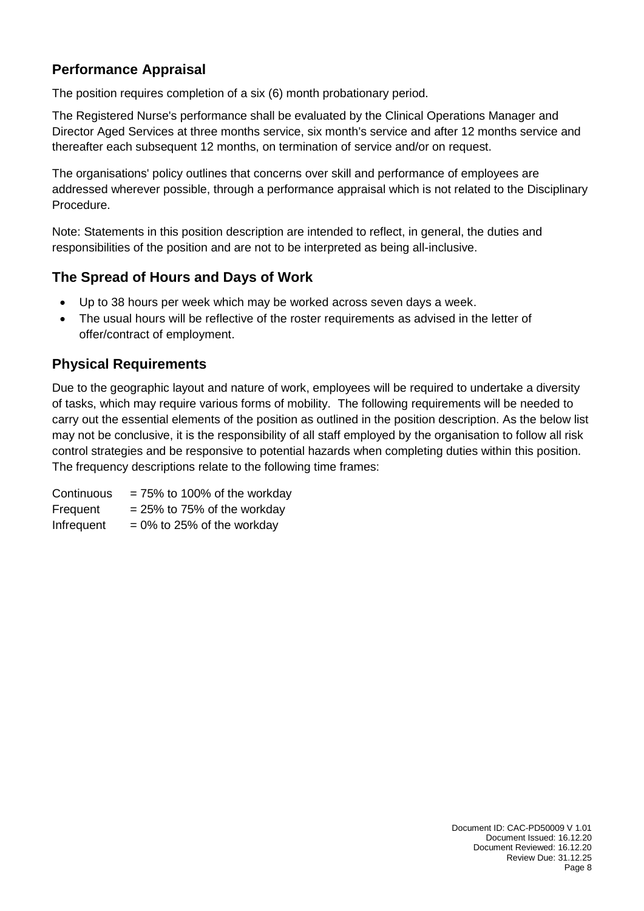## **Performance Appraisal**

The position requires completion of a six (6) month probationary period.

The Registered Nurse's performance shall be evaluated by the Clinical Operations Manager and Director Aged Services at three months service, six month's service and after 12 months service and thereafter each subsequent 12 months, on termination of service and/or on request.

The organisations' policy outlines that concerns over skill and performance of employees are addressed wherever possible, through a performance appraisal which is not related to the Disciplinary Procedure.

Note: Statements in this position description are intended to reflect, in general, the duties and responsibilities of the position and are not to be interpreted as being all-inclusive.

## **The Spread of Hours and Days of Work**

- Up to 38 hours per week which may be worked across seven days a week.
- The usual hours will be reflective of the roster requirements as advised in the letter of offer/contract of employment.

## **Physical Requirements**

Due to the geographic layout and nature of work, employees will be required to undertake a diversity of tasks, which may require various forms of mobility. The following requirements will be needed to carry out the essential elements of the position as outlined in the position description. As the below list may not be conclusive, it is the responsibility of all staff employed by the organisation to follow all risk control strategies and be responsive to potential hazards when completing duties within this position. The frequency descriptions relate to the following time frames:

| Continuous | $= 75\%$ to 100% of the workday |
|------------|---------------------------------|
| Frequent   | $= 25\%$ to 75% of the workday  |
| Infrequent | $= 0\%$ to 25% of the workday   |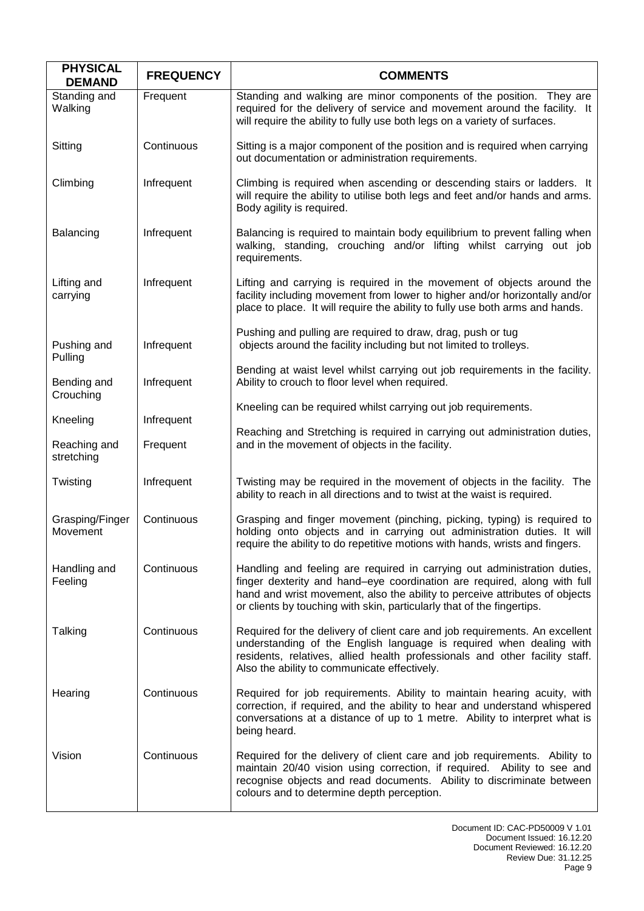| <b>PHYSICAL</b><br><b>DEMAND</b> | <b>FREQUENCY</b> | <b>COMMENTS</b>                                                                                                                                                                                                                                                                                               |
|----------------------------------|------------------|---------------------------------------------------------------------------------------------------------------------------------------------------------------------------------------------------------------------------------------------------------------------------------------------------------------|
| Standing and<br>Walking          | Frequent         | Standing and walking are minor components of the position. They are<br>required for the delivery of service and movement around the facility. It<br>will require the ability to fully use both legs on a variety of surfaces.                                                                                 |
| Sitting                          | Continuous       | Sitting is a major component of the position and is required when carrying<br>out documentation or administration requirements.                                                                                                                                                                               |
| Climbing                         | Infrequent       | Climbing is required when ascending or descending stairs or ladders. It<br>will require the ability to utilise both legs and feet and/or hands and arms.<br>Body agility is required.                                                                                                                         |
| Balancing                        | Infrequent       | Balancing is required to maintain body equilibrium to prevent falling when<br>walking, standing, crouching and/or lifting whilst carrying out job<br>requirements.                                                                                                                                            |
| Lifting and<br>carrying          | Infrequent       | Lifting and carrying is required in the movement of objects around the<br>facility including movement from lower to higher and/or horizontally and/or<br>place to place. It will require the ability to fully use both arms and hands.                                                                        |
| Pushing and<br>Pulling           | Infrequent       | Pushing and pulling are required to draw, drag, push or tug<br>objects around the facility including but not limited to trolleys.                                                                                                                                                                             |
| Bending and<br>Crouching         | Infrequent       | Bending at waist level whilst carrying out job requirements in the facility.<br>Ability to crouch to floor level when required.                                                                                                                                                                               |
| Kneeling                         | Infrequent       | Kneeling can be required whilst carrying out job requirements.                                                                                                                                                                                                                                                |
| Reaching and<br>stretching       | Frequent         | Reaching and Stretching is required in carrying out administration duties,<br>and in the movement of objects in the facility.                                                                                                                                                                                 |
| Twisting                         | Infrequent       | Twisting may be required in the movement of objects in the facility. The<br>ability to reach in all directions and to twist at the waist is required.                                                                                                                                                         |
| Grasping/Finger<br>Movement      | Continuous       | Grasping and finger movement (pinching, picking, typing) is required to<br>holding onto objects and in carrying out administration duties. It will<br>require the ability to do repetitive motions with hands, wrists and fingers.                                                                            |
| Handling and<br>Feeling          | Continuous       | Handling and feeling are required in carrying out administration duties,<br>finger dexterity and hand-eye coordination are required, along with full<br>hand and wrist movement, also the ability to perceive attributes of objects<br>or clients by touching with skin, particularly that of the fingertips. |
| Talking                          | Continuous       | Required for the delivery of client care and job requirements. An excellent<br>understanding of the English language is required when dealing with<br>residents, relatives, allied health professionals and other facility staff.<br>Also the ability to communicate effectively.                             |
| Hearing                          | Continuous       | Required for job requirements. Ability to maintain hearing acuity, with<br>correction, if required, and the ability to hear and understand whispered<br>conversations at a distance of up to 1 metre. Ability to interpret what is<br>being heard.                                                            |
| Vision                           | Continuous       | Required for the delivery of client care and job requirements. Ability to<br>maintain 20/40 vision using correction, if required. Ability to see and<br>recognise objects and read documents. Ability to discriminate between<br>colours and to determine depth perception.                                   |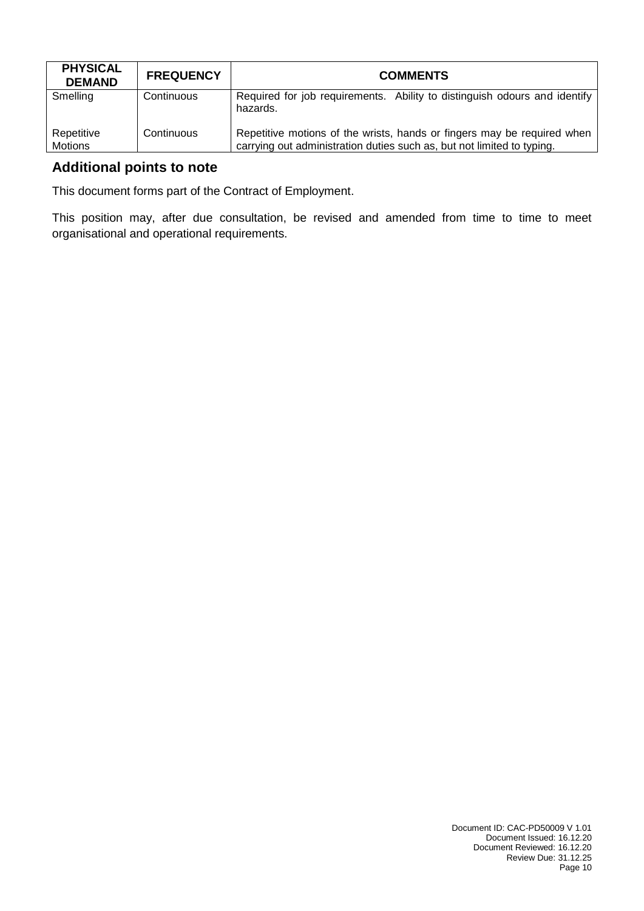| <b>PHYSICAL</b><br><b>DEMAND</b> | <b>FREQUENCY</b> | <b>COMMENTS</b>                                                                                                                                   |
|----------------------------------|------------------|---------------------------------------------------------------------------------------------------------------------------------------------------|
| Smelling                         | Continuous       | Required for job requirements. Ability to distinguish odours and identify<br>hazards.                                                             |
| Repetitive<br>Motions            | Continuous       | Repetitive motions of the wrists, hands or fingers may be required when<br>carrying out administration duties such as, but not limited to typing. |

## **Additional points to note**

This document forms part of the Contract of Employment.

This position may, after due consultation, be revised and amended from time to time to meet organisational and operational requirements.